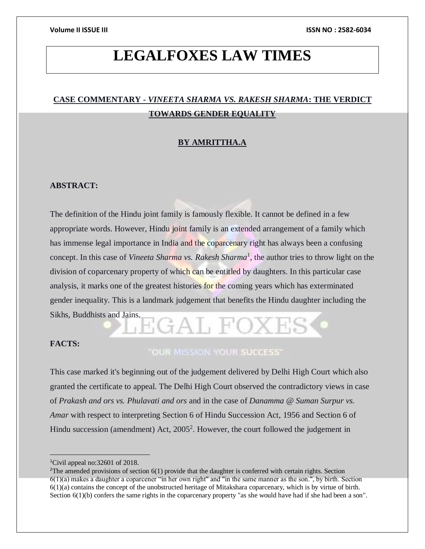# **LEGALFOXES LAW TIMES**

# **CASE COMMENTARY -** *VINEETA SHARMA VS. RAKESH SHARMA***: THE VERDICT TOWARDS GENDER EQUALITY**

### **BY AMRITTHA.A**

### **ABSTRACT:**

The definition of the Hindu joint family is famously flexible. It cannot be defined in a few appropriate words. However, Hindu joint family is an extended arrangement of a family which has immense legal importance in India and the coparcenary right has always been a confusing concept. In this case of *Vineeta Sharma vs. Rakesh Sharma*<sup>1</sup>, the author tries to throw light on the division of coparcenary property of which can be entitled by daughters. In this particular case analysis, it marks one of the greatest histories for the coming years which has exterminated gender inequality. This is a landmark judgement that benefits the Hindu daughter including the Sikhs, Buddhists and Jains.

### **FACTS:**

# "OUR MISSION YOUR SUCCESS"

This case marked it's beginning out of the judgement delivered by Delhi High Court which also granted the certificate to appeal. The Delhi High Court observed the contradictory views in case of *Prakash and ors vs. Phulavati and ors* and in the case of *Danamma @ Suman Surpur vs. Amar* with respect to interpreting Section 6 of Hindu Succession Act, 1956 and Section 6 of Hindu succession (amendment) Act,  $2005^2$ . However, the court followed the judgement in

<sup>1</sup>Civil appeal no:32601 of 2018.

 $2^2$ The amended provisions of section  $6(1)$  provide that the daughter is conferred with certain rights. Section  $6(1)(a)$  makes a daughter a coparcener "in her own right" and "in the same manner as the son.", by birth. Section 6(1)(a) contains the concept of the unobstructed heritage of Mitakshara coparcenary, which is by virtue of birth. Section 6(1)(b) confers the same rights in the coparcenary property "as she would have had if she had been a son".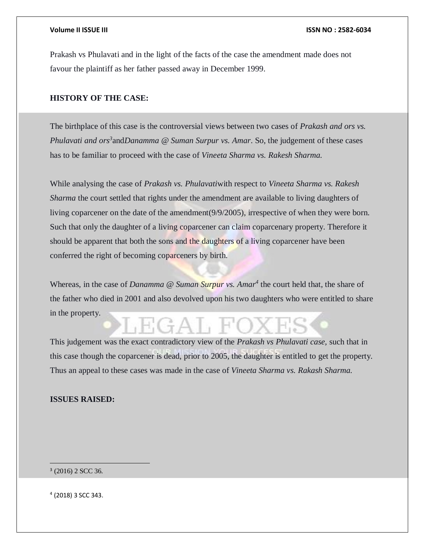Prakash vs Phulavati and in the light of the facts of the case the amendment made does not favour the plaintiff as her father passed away in December 1999.

### **HISTORY OF THE CASE:**

The birthplace of this case is the controversial views between two cases of *Prakash and ors vs. Phulavati and ors<sup>3</sup>* and*Danamma @ Suman Surpur vs. Amar*. So, the judgement of these cases has to be familiar to proceed with the case of *Vineeta Sharma vs. Rakesh Sharma.*

While analysing the case of *Prakash vs. Phulavati*with respect to *Vineeta Sharma vs. Rakesh Sharma* the court settled that rights under the amendment are available to living daughters of living coparcener on the date of the amendment(9/9/2005), irrespective of when they were born. Such that only the daughter of a living coparcener can claim coparcenary property. Therefore it should be apparent that both the sons and the daughters of a living coparcener have been conferred the right of becoming coparceners by birth.

Whereas, in the case of *Danamma @ Suman Surpur vs. Amar<sup>4</sup>* the court held that, the share of the father who died in 2001 and also devolved upon his two daughters who were entitled to share in the property.

This judgement was the exact contradictory view of the *Prakash vs Phulavati case,* such that in this case though the coparcener is dead, prior to 2005, the daughter is entitled to get the property. Thus an appeal to these cases was made in the case of *Vineeta Sharma vs. Rakash Sharma.*

### **ISSUES RAISED:**

3 (2016) 2 SCC 36.

4 (2018) 3 SCC 343.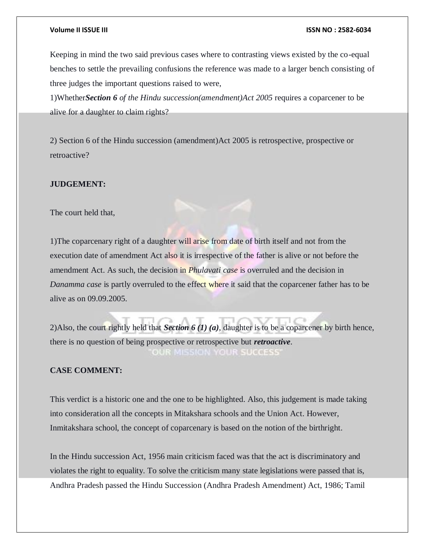### **Volume II ISSUE III ISSN NO : 2582-6034**

Keeping in mind the two said previous cases where to contrasting views existed by the co-equal benches to settle the prevailing confusions the reference was made to a larger bench consisting of three judges the important questions raised to were,

1)Whether*Section 6 of the Hindu succession(amendment)Act 2005* requires a coparcener to be alive for a daughter to claim rights?

2) Section 6 of the Hindu succession (amendment)Act 2005 is retrospective, prospective or retroactive?

### **JUDGEMENT:**

The court held that,

1)The coparcenary right of a daughter will arise from date of birth itself and not from the execution date of amendment Act also it is irrespective of the father is alive or not before the amendment Act. As such, the decision in *Phulavati case* is overruled and the decision in *Danamma case* is partly overruled to the effect where it said that the coparcener father has to be alive as on 09.09.2005.

2)Also, the court rightly held that *Section 6 (1) (a)*, daughter is to be a coparcener by birth hence, there is no question of being prospective or retrospective but *retroactive*. OUR MISSION YOUR SUCCESS'

### **CASE COMMENT:**

This verdict is a historic one and the one to be highlighted. Also, this judgement is made taking into consideration all the concepts in Mitakshara schools and the Union Act. However, Inmitakshara school, the concept of coparcenary is based on the notion of the birthright.

In the Hindu succession Act, 1956 main criticism faced was that the act is discriminatory and violates the right to equality. To solve the criticism many state legislations were passed that is, Andhra Pradesh passed the Hindu Succession (Andhra Pradesh Amendment) Act, 1986; Tamil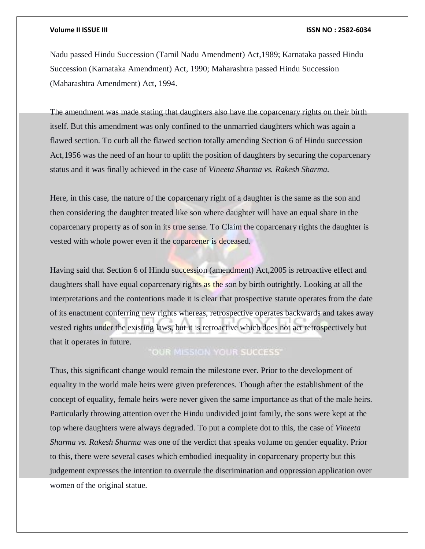### **Volume II ISSUE III ISSN NO : 2582-6034**

Nadu passed Hindu Succession (Tamil Nadu Amendment) Act,1989; Karnataka passed Hindu Succession (Karnataka Amendment) Act, 1990; Maharashtra passed Hindu Succession (Maharashtra Amendment) Act, 1994.

The amendment was made stating that daughters also have the coparcenary rights on their birth itself. But this amendment was only confined to the unmarried daughters which was again a flawed section. To curb all the flawed section totally amending Section 6 of Hindu succession Act,1956 was the need of an hour to uplift the position of daughters by securing the coparcenary status and it was finally achieved in the case of *Vineeta Sharma vs. Rakesh Sharma.*

Here, in this case, the nature of the coparcenary right of a daughter is the same as the son and then considering the daughter treated like son where daughter will have an equal share in the coparcenary property as of son in its true sense. To Claim the coparcenary rights the daughter is vested with whole power even if the coparcener is deceased.

Having said that Section 6 of Hindu succession (amendment) Act,2005 is retroactive effect and daughters shall have equal coparcenary rights as the son by birth outrightly. Looking at all the interpretations and the contentions made it is clear that prospective statute operates from the date of its enactment conferring new rights whereas, retrospective operates backwards and takes away vested rights under the existing laws, but it is retroactive which does not act retrospectively but that it operates in future.

# "OUR MISSION YOUR SUCCESS"

Thus, this significant change would remain the milestone ever. Prior to the development of equality in the world male heirs were given preferences. Though after the establishment of the concept of equality, female heirs were never given the same importance as that of the male heirs. Particularly throwing attention over the Hindu undivided joint family, the sons were kept at the top where daughters were always degraded. To put a complete dot to this, the case of *Vineeta Sharma vs. Rakesh Sharma* was one of the verdict that speaks volume on gender equality. Prior to this, there were several cases which embodied inequality in coparcenary property but this judgement expresses the intention to overrule the discrimination and oppression application over women of the original statue.